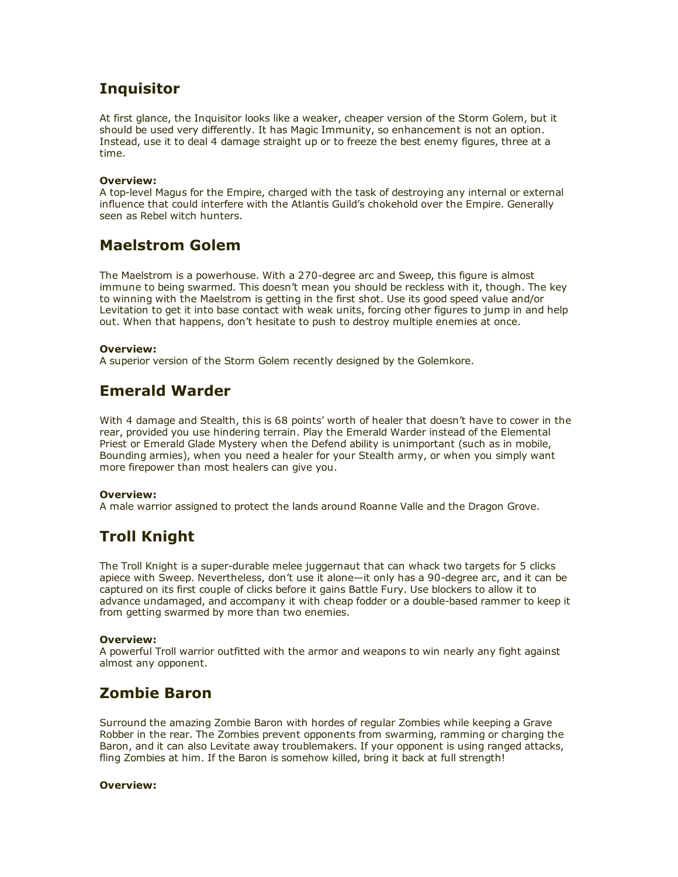# **Inquisitor**

At first glance, the Inquisitor looks like a weaker, cheaper version of the Storm Golem, but it should be used very differently. It has Magic Immunity, so enhancement is not an option. Instead, use it to deal 4 damage straight up or to freeze the best enemy figures, three at a time.

#### Overview:

A top-level Magus for the Empire, charged with the task of destroying any internal or external influence that could interfere with the Atlantis Guild's chokehold over the Empire. Generally seen as Rebel witch hunters.

## Maelstrom Golem

The Maelstrom is a powerhouse. With a 270-degree arc and Sweep, this figure is almost immune to being swarmed. This doesn't mean you should be reckless with it, though. The key to winning with the Maelstrom is getting in the first shot. Use its good speed value and/or Levitation to get it into base contact with weak units, forcing other figures to jump in and help out. When that happens, don't hesitate to push to destroy multiple enemies at once.

#### Overview:

A superior version of the Storm Golem recently designed by the Golemkore.

## Emerald Warder

With 4 damage and Stealth, this is 68 points' worth of healer that doesn't have to cower in the rear, provided you use hindering terrain. Play the Emerald Warder instead of the Elemental Priest or Emerald Glade Mystery when the Defend ability is unimportant (such as in mobile, Bounding armies), when you need a healer for your Stealth army, or when you simply want more firepower than most healers can give you.

#### Overview:

A male warrior assigned to protect the lands around Roanne Valle and the Dragon Grove.

# Troll Knight

The Troll Knight is a super-durable melee juggernaut that can whack two targets for 5 clicks apiece with Sweep. Nevertheless, don't use it alone—it only has a 90-degree arc, and it can be captured on its first couple of clicks before it gains Battle Fury. Use blockers to allow it to advance undamaged, and accompany it with cheap fodder or a double-based rammer to keep it from getting swarmed by more than two enemies.

#### Overview:

A powerful Troll warrior outfitted with the armor and weapons to win nearly any fight against almost any opponent.

## Zombie Baron

Surround the amazing Zombie Baron with hordes of regular Zombies while keeping a Grave Robber in the rear. The Zombies prevent opponents from swarming, ramming or charging the Baron, and it can also Levitate away troublemakers. If your opponent is using ranged attacks, fling Zombies at him. If the Baron is somehow killed, bring it back at full strength!

#### Overview: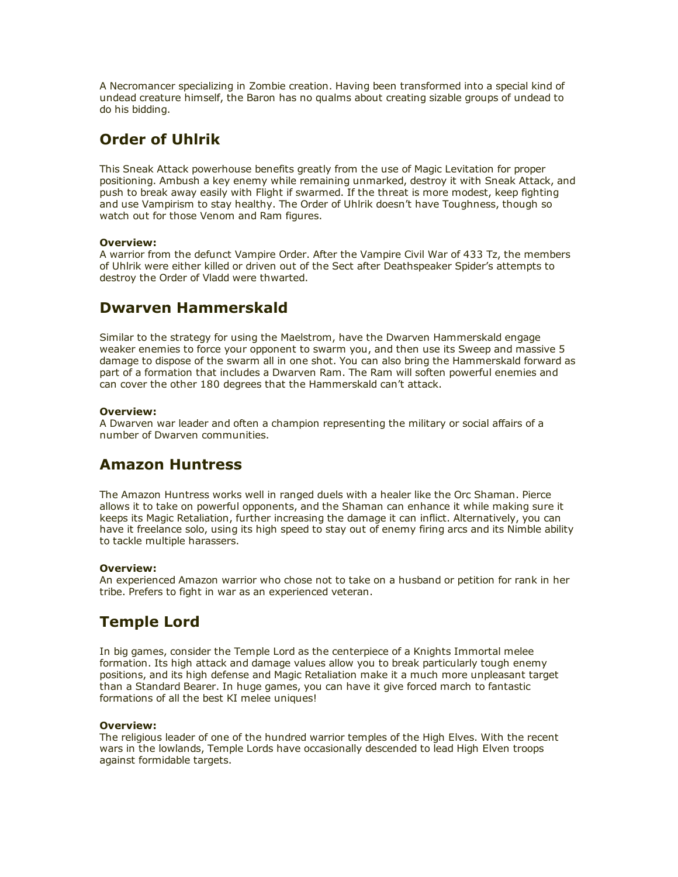A Necromancer specializing in Zombie creation. Having been transformed into a special kind of undead creature himself, the Baron has no qualms about creating sizable groups of undead to do his bidding.

# Order of Uhlrik

This Sneak Attack powerhouse benefits greatly from the use of Magic Levitation for proper positioning. Ambush a key enemy while remaining unmarked, destroy it with Sneak Attack, and push to break away easily with Flight if swarmed. If the threat is more modest, keep fighting and use Vampirism to stay healthy. The Order of Uhlrik doesn't have Toughness, though so watch out for those Venom and Ram figures.

#### Overview:

A warrior from the defunct Vampire Order. After the Vampire Civil War of 433 Tz, the members of Uhlrik were either killed or driven out of the Sect after Deathspeaker Spider's attempts to destroy the Order of Vladd were thwarted.

## Dwarven Hammerskald

Similar to the strategy for using the Maelstrom, have the Dwarven Hammerskald engage weaker enemies to force your opponent to swarm you, and then use its Sweep and massive 5 damage to dispose of the swarm all in one shot. You can also bring the Hammerskald forward as part of a formation that includes a Dwarven Ram. The Ram will soften powerful enemies and can cover the other 180 degrees that the Hammerskald can't attack.

#### Overview:

A Dwarven war leader and often a champion representing the military or social affairs of a number of Dwarven communities.

# Amazon Huntress

The Amazon Huntress works well in ranged duels with a healer like the Orc Shaman. Pierce allows it to take on powerful opponents, and the Shaman can enhance it while making sure it keeps its Magic Retaliation, further increasing the damage it can inflict. Alternatively, you can have it freelance solo, using its high speed to stay out of enemy firing arcs and its Nimble ability to tackle multiple harassers.

#### Overview:

An experienced Amazon warrior who chose not to take on a husband or petition for rank in her tribe. Prefers to fight in war as an experienced veteran.

## Temple Lord

In big games, consider the Temple Lord as the centerpiece of a Knights Immortal melee formation. Its high attack and damage values allow you to break particularly tough enemy positions, and its high defense and Magic Retaliation make it a much more unpleasant target than a Standard Bearer. In huge games, you can have it give forced march to fantastic formations of all the best KI melee uniques!

#### Overview:

The religious leader of one of the hundred warrior temples of the High Elves. With the recent wars in the lowlands, Temple Lords have occasionally descended to lead High Elven troops against formidable targets.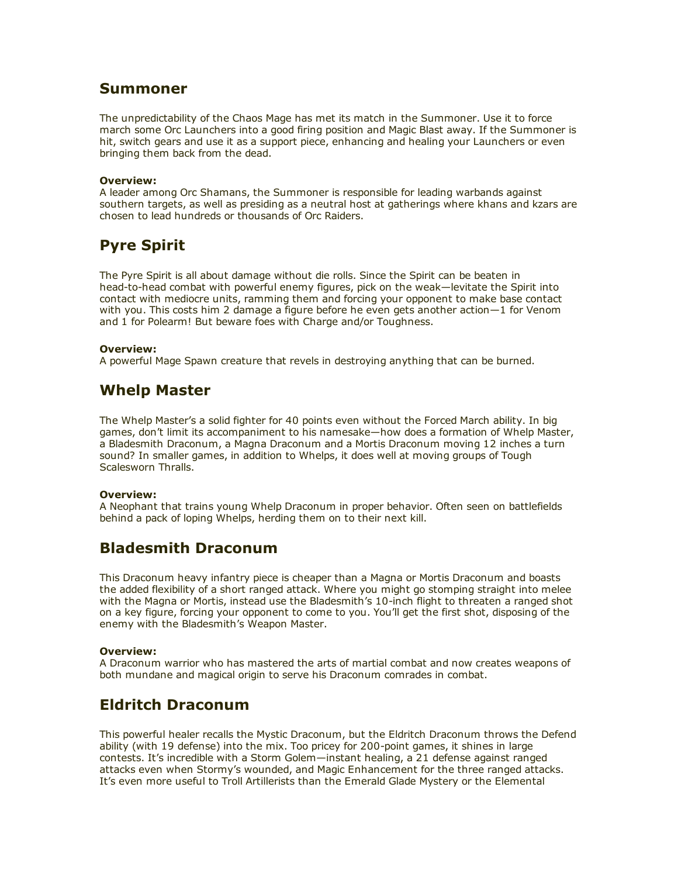### Summoner

The unpredictability of the Chaos Mage has met its match in the Summoner. Use it to force march some Orc Launchers into a good firing position and Magic Blast away. If the Summoner is hit, switch gears and use it as a support piece, enhancing and healing your Launchers or even bringing them back from the dead.

#### Overview:

A leader among Orc Shamans, the Summoner is responsible for leading warbands against southern targets, as well as presiding as a neutral host at gatherings where khans and kzars are chosen to lead hundreds or thousands of Orc Raiders.

# Pyre Spirit

The Pyre Spirit is all about damage without die rolls. Since the Spirit can be beaten in head-to-head combat with powerful enemy figures, pick on the weak—levitate the Spirit into contact with mediocre units, ramming them and forcing your opponent to make base contact with you. This costs him 2 damage a figure before he even gets another action—1 for Venom and 1 for Polearm! But beware foes with Charge and/or Toughness.

#### Overview:

A powerful Mage Spawn creature that revels in destroying anything that can be burned.

## Whelp Master

The Whelp Master's a solid fighter for 40 points even without the Forced March ability. In big games, don't limit its accompaniment to his namesake—how does a formation of Whelp Master, a Bladesmith Draconum, a Magna Draconum and a Mortis Draconum moving 12 inches a turn sound? In smaller games, in addition to Whelps, it does well at moving groups of Tough Scalesworn Thralls.

#### Overview:

A Neophant that trains young Whelp Draconum in proper behavior. Often seen on battlefields behind a pack of loping Whelps, herding them on to their next kill.

## Bladesmith Draconum

This Draconum heavy infantry piece is cheaper than a Magna or Mortis Draconum and boasts the added flexibility of a short ranged attack. Where you might go stomping straight into melee with the Magna or Mortis, instead use the Bladesmith's 10-inch flight to threaten a ranged shot on a key figure, forcing your opponent to come to you. You'll get the first shot, disposing of the enemy with the Bladesmith's Weapon Master.

#### Overview:

A Draconum warrior who has mastered the arts of martial combat and now creates weapons of both mundane and magical origin to serve his Draconum comrades in combat.

### Eldritch Draconum

This powerful healer recalls the Mystic Draconum, but the Eldritch Draconum throws the Defend ability (with 19 defense) into the mix. Too pricey for 200-point games, it shines in large contests. It's incredible with a Storm Golem—instant healing, a 21 defense against ranged attacks even when Stormy's wounded, and Magic Enhancement for the three ranged attacks. It's even more useful to Troll Artillerists than the Emerald Glade Mystery or the Elemental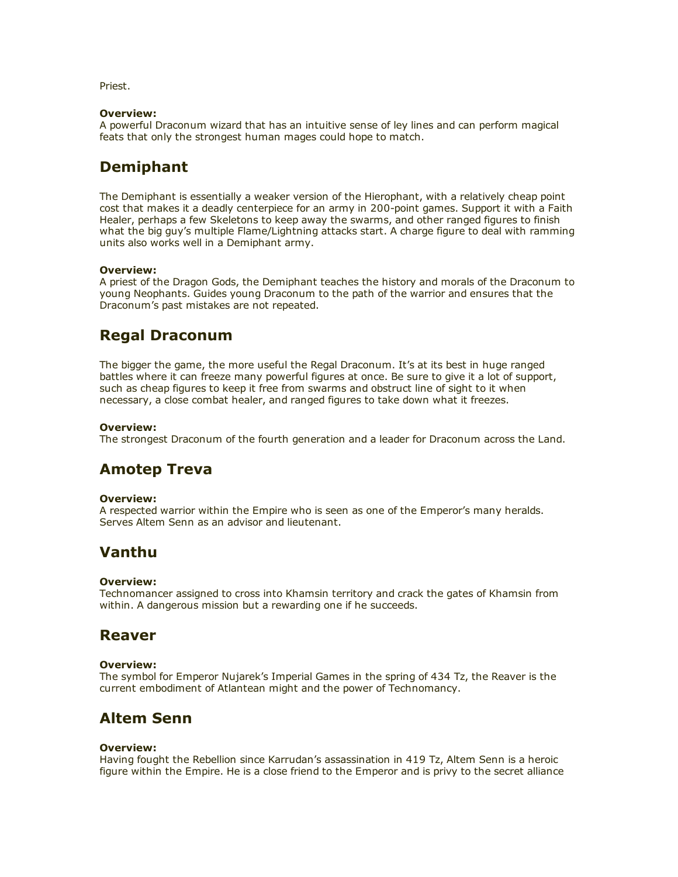Priest.

#### Overview:

A powerful Draconum wizard that has an intuitive sense of ley lines and can perform magical feats that only the strongest human mages could hope to match.

## Demiphant

The Demiphant is essentially a weaker version of the Hierophant, with a relatively cheap point cost that makes it a deadly centerpiece for an army in 200-point games. Support it with a Faith Healer, perhaps a few Skeletons to keep away the swarms, and other ranged figures to finish what the big guy's multiple Flame/Lightning attacks start. A charge figure to deal with ramming units also works well in a Demiphant army.

#### Overview:

A priest of the Dragon Gods, the Demiphant teaches the history and morals of the Draconum to young Neophants. Guides young Draconum to the path of the warrior and ensures that the Draconum's past mistakes are not repeated.

## Regal Draconum

The bigger the game, the more useful the Regal Draconum. It's at its best in huge ranged battles where it can freeze many powerful figures at once. Be sure to give it a lot of support, such as cheap figures to keep it free from swarms and obstruct line of sight to it when necessary, a close combat healer, and ranged figures to take down what it freezes.

#### Overview:

The strongest Draconum of the fourth generation and a leader for Draconum across the Land.

# Amotep Treva

#### Overview:

A respected warrior within the Empire who is seen as one of the Emperor's many heralds. Serves Altem Senn as an advisor and lieutenant.

### Vanthu

#### Overview:

Technomancer assigned to cross into Khamsin territory and crack the gates of Khamsin from within. A dangerous mission but a rewarding one if he succeeds.

### Reaver

#### Overview:

The symbol for Emperor Nujarek's Imperial Games in the spring of 434 Tz, the Reaver is the current embodiment of Atlantean might and the power of Technomancy.

### Altem Senn

#### Overview:

Having fought the Rebellion since Karrudan's assassination in 419 Tz, Altem Senn is a heroic figure within the Empire. He is a close friend to the Emperor and is privy to the secret alliance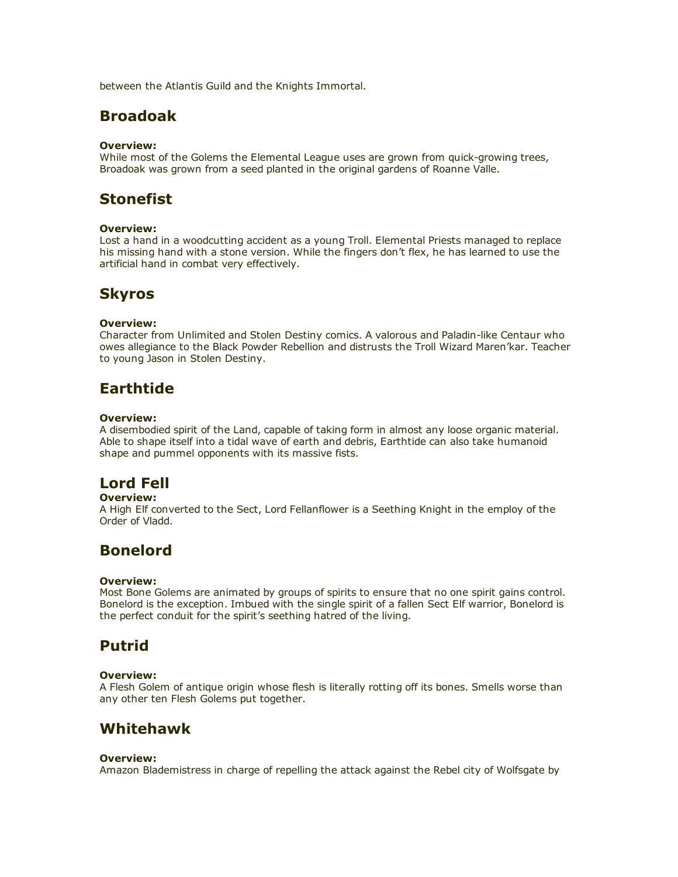between the Atlantis Guild and the Knights Immortal.

### Broadoak

#### Overview:

While most of the Golems the Elemental League uses are grown from quick-growing trees, Broadoak was grown from a seed planted in the original gardens of Roanne Valle.

## Stonefist

#### Overview:

Lost a hand in a woodcutting accident as a young Troll. Elemental Priests managed to replace his missing hand with a stone version. While the fingers don't flex, he has learned to use the artificial hand in combat very effectively.

### Skyros

#### Overview:

Character from Unlimited and Stolen Destiny comics. A valorous and Paladin-like Centaur who owes allegiance to the Black Powder Rebellion and distrusts the Troll Wizard Maren'kar. Teacher to young Jason in Stolen Destiny.

# Earthtide

#### Overview:

A disembodied spirit of the Land, capable of taking form in almost any loose organic material. Able to shape itself into a tidal wave of earth and debris, Earthtide can also take humanoid shape and pummel opponents with its massive fists.

# Lord Fell

#### Overview:

A High Elf converted to the Sect, Lord Fellanflower is a Seething Knight in the employ of the Order of Vladd.

### Bonelord

#### Overview:

Most Bone Golems are animated by groups of spirits to ensure that no one spirit gains control. Bonelord is the exception. Imbued with the single spirit of a fallen Sect Elf warrior, Bonelord is the perfect conduit for the spirit's seething hatred of the living.

## Putrid

#### Overview:

A Flesh Golem of antique origin whose flesh is literally rotting off its bones. Smells worse than any other ten Flesh Golems put together.

### Whitehawk

#### Overview:

Amazon Blademistress in charge of repelling the attack against the Rebel city of Wolfsgate by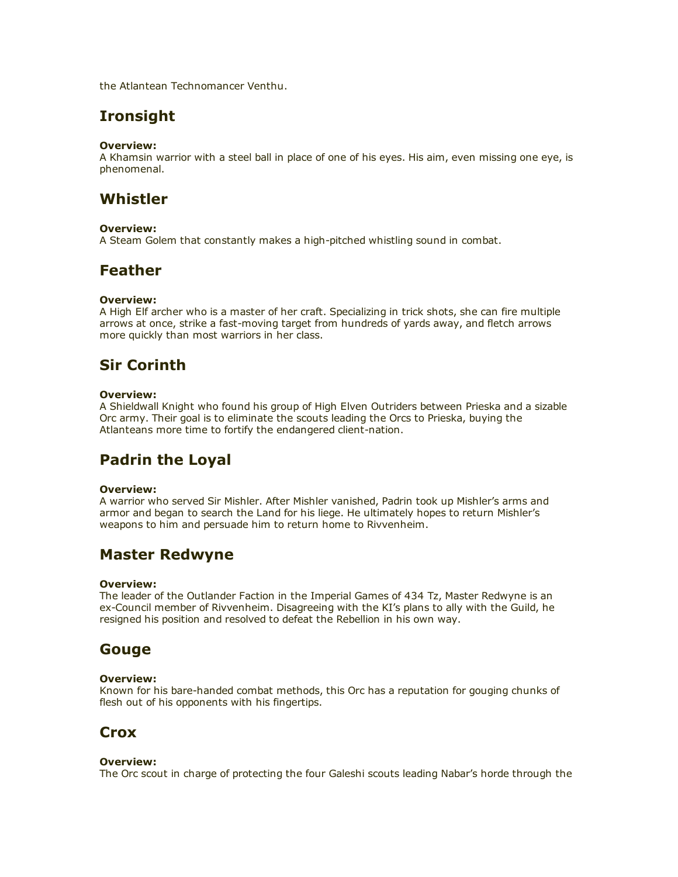the Atlantean Technomancer Venthu.

## Ironsight

#### Overview:

A Khamsin warrior with a steel ball in place of one of his eyes. His aim, even missing one eye, is phenomenal.

## Whistler

#### Overview:

A Steam Golem that constantly makes a high-pitched whistling sound in combat.

## Feather

#### Overview:

A High Elf archer who is a master of her craft. Specializing in trick shots, she can fire multiple arrows at once, strike a fast-moving target from hundreds of yards away, and fletch arrows more quickly than most warriors in her class.

## Sir Corinth

#### Overview:

A Shieldwall Knight who found his group of High Elven Outriders between Prieska and a sizable Orc army. Their goal is to eliminate the scouts leading the Orcs to Prieska, buying the Atlanteans more time to fortify the endangered client-nation.

# Padrin the Loyal

#### Overview:

A warrior who served Sir Mishler. After Mishler vanished, Padrin took up Mishler's arms and armor and began to search the Land for his liege. He ultimately hopes to return Mishler's weapons to him and persuade him to return home to Rivvenheim.

### Master Redwyne

#### Overview:

The leader of the Outlander Faction in the Imperial Games of 434 Tz, Master Redwyne is an ex-Council member of Rivvenheim. Disagreeing with the KI's plans to ally with the Guild, he resigned his position and resolved to defeat the Rebellion in his own way.

### Gouge

#### Overview:

Known for his bare-handed combat methods, this Orc has a reputation for gouging chunks of flesh out of his opponents with his fingertips.

### **Crox**

#### Overview:

The Orc scout in charge of protecting the four Galeshi scouts leading Nabar's horde through the